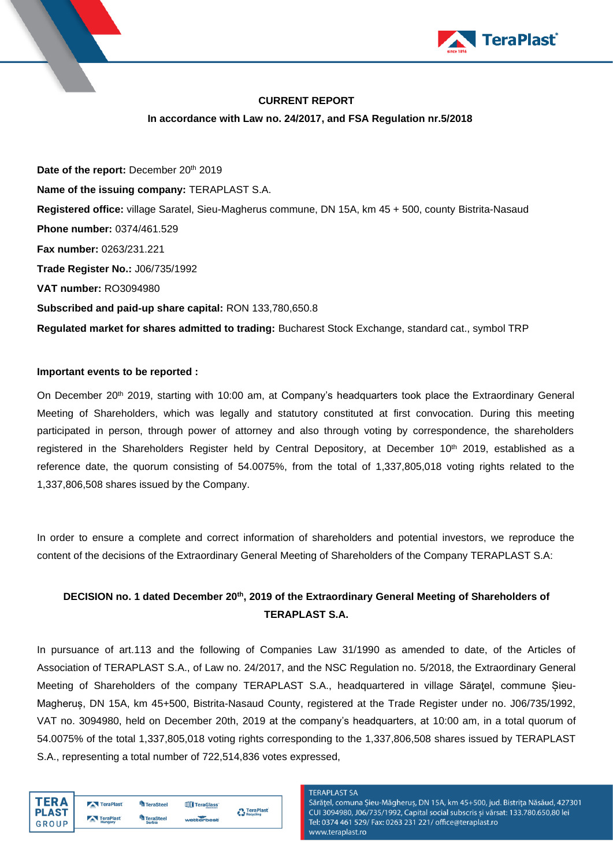

# **CURRENT REPORT**

#### **In accordance with Law no. 24/2017, and FSA Regulation nr.5/2018**

Date of the report: December 20<sup>th</sup> 2019 **Name of the issuing company:** TERAPLAST S.A. **Registered office:** village Saratel, Sieu-Magherus commune, DN 15A, km 45 + 500, county Bistrita-Nasaud **Phone number:** 0374/461.529 **Fax number:** 0263/231.221 **Trade Register No.:** J06/735/1992 **VAT number:** RO3094980 **Subscribed and paid-up share capital:** RON 133,780,650.8 **Regulated market for shares admitted to trading:** Bucharest Stock Exchange, standard cat., symbol TRP

#### **Important events to be reported :**

On December 20<sup>th</sup> 2019, starting with 10:00 am, at Company's headquarters took place the Extraordinary General Meeting of Shareholders, which was legally and statutory constituted at first convocation. During this meeting participated in person, through power of attorney and also through voting by correspondence, the shareholders registered in the Shareholders Register held by Central Depository, at December 10<sup>th</sup> 2019, established as a reference date, the quorum consisting of 54.0075%, from the total of 1,337,805,018 voting rights related to the 1,337,806,508 shares issued by the Company.

In order to ensure a complete and correct information of shareholders and potential investors, we reproduce the content of the decisions of the Extraordinary General Meeting of Shareholders of the Company TERAPLAST S.A:

# **DECISION no. 1 dated December 20 th , 2019 of the Extraordinary General Meeting of Shareholders of TERAPLAST S.A.**

In pursuance of art.113 and the following of Companies Law 31/1990 as amended to date, of the Articles of Association of TERAPLAST S.A., of Law no. 24/2017, and the NSC Regulation no. 5/2018, the Extraordinary General Meeting of Shareholders of the company TERAPLAST S.A., headquartered in village Săratel, commune Șieu-Magheruș, DN 15A, km 45+500, Bistrita-Nasaud County, registered at the Trade Register under no. J06/735/1992, VAT no. 3094980, held on December 20th, 2019 at the company's headquarters, at 10:00 am, in a total quorum of 54.0075% of the total 1,337,805,018 voting rights corresponding to the 1,337,806,508 shares issued by TERAPLAST S.A., representing a total number of 722,514,836 votes expressed,

|              | TeraPlast                    | <b>TeraSteel</b>       | TeraGlass  | <b>TeraPlast</b> |
|--------------|------------------------------|------------------------|------------|------------------|
| <b>PLAST</b> | TeraPlast                    | <sup>4</sup> TeraSteel |            | Recycling        |
| GROUP        | <b>Contractor</b><br>Hungary | <b>Serbia</b>          | wetterbest |                  |

#### **TERAPLAST SA**

Sărățel, comuna Șieu-Măgheruș, DN 15A, km 45+500, jud. Bistrița Năsăud, 427301 CUI 3094980, J06/735/1992, Capital social subscris și vărsat: 133.780.650,80 lei Tel: 0374 461 529/ Fax: 0263 231 221/ office@teraplast.ro www.teraplast.ro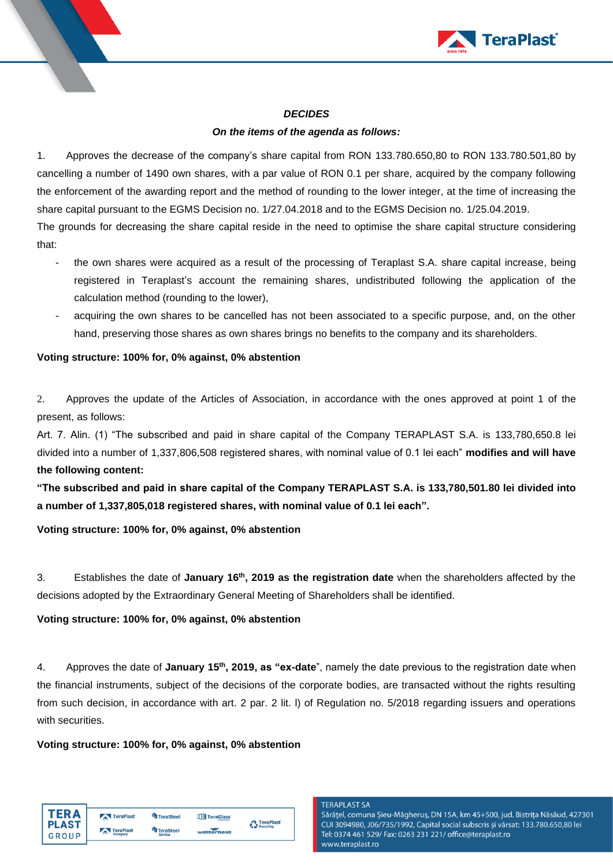

#### *DECIDES*

# *On the items of the agenda as follows:*

1. Approves the decrease of the company's share capital from RON 133.780.650,80 to RON 133.780.501,80 by cancelling a number of 1490 own shares, with a par value of RON 0.1 per share, acquired by the company following the enforcement of the awarding report and the method of rounding to the lower integer, at the time of increasing the share capital pursuant to the EGMS Decision no. 1/27.04.2018 and to the EGMS Decision no. 1/25.04.2019. The grounds for decreasing the share capital reside in the need to optimise the share capital structure considering that:

- the own shares were acquired as a result of the processing of Teraplast S.A. share capital increase, being registered in Teraplast's account the remaining shares, undistributed following the application of the calculation method (rounding to the lower),
- acquiring the own shares to be cancelled has not been associated to a specific purpose, and, on the other hand, preserving those shares as own shares brings no benefits to the company and its shareholders.

## **Voting structure: 100% for, 0% against, 0% abstention**

2. Approves the update of the Articles of Association, in accordance with the ones approved at point 1 of the present, as follows:

Art. 7. Alin. (1) "The subscribed and paid in share capital of the Company TERAPLAST S.A. is 133,780,650.8 lei divided into a number of 1,337,806,508 registered shares, with nominal value of 0.1 lei each" **modifies and will have the following content:**

**"The subscribed and paid in share capital of the Company TERAPLAST S.A. is 133,780,501.80 lei divided into a number of 1,337,805,018 registered shares, with nominal value of 0.1 lei each".**

**Voting structure: 100% for, 0% against, 0% abstention**

3. Establishes the date of **January 16 th , 2019 as the registration date** when the shareholders affected by the decisions adopted by the Extraordinary General Meeting of Shareholders shall be identified.

# **Voting structure: 100% for, 0% against, 0% abstention**

4. Approves the date of **January 15th , 2019, as "ex-date**", namely the date previous to the registration date when the financial instruments, subject of the decisions of the corporate bodies, are transacted without the rights resulting from such decision, in accordance with art. 2 par. 2 lit. l) of Regulation no. 5/2018 regarding issuers and operations with securities.

#### **Voting structure: 100% for, 0% against, 0% abstention**

| TFR A        | TeraPlast      | <b>TeraSteel</b> | TeraGlass  | <b>A</b> TeraPlast |
|--------------|----------------|------------------|------------|--------------------|
| <b>PLAST</b> | TeraPlast      | TeraSteel        |            | Recycling          |
| GROUP        | $-$<br>Hungary | <b>Serbia</b>    | wetterbest |                    |

#### **TFRAPI AST SA**

Sărățel, comuna Șieu-Măgheruș, DN 15A, km 45+500, jud. Bistrița Năsăud, 427301 CUI 3094980, J06/735/1992, Capital social subscris si vărsat: 133.780.650.80 lei Tel: 0374 461 529/ Fax: 0263 231 221/ office@teraplast.ro www.teraplast.ro